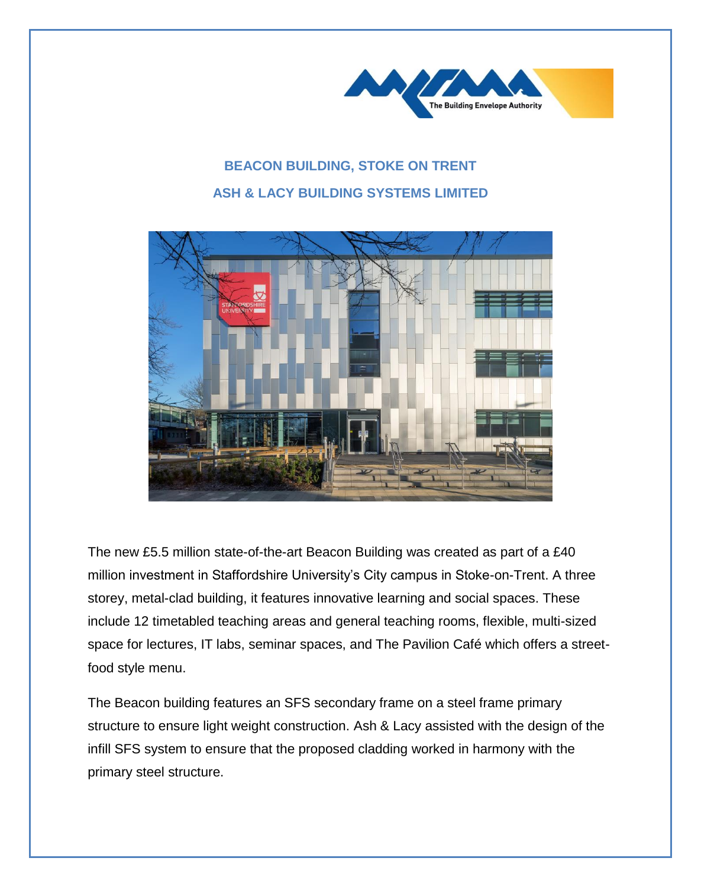

## **BEACON BUILDING, STOKE ON TRENT ASH & LACY BUILDING SYSTEMS LIMITED**



The new £5.5 million state-of-the-art Beacon Building was created as part of a £40 million investment in Staffordshire University's City campus in Stoke-on-Trent. A three storey, metal-clad building, it features innovative learning and social spaces. These include 12 timetabled teaching areas and general teaching rooms, flexible, multi-sized space for lectures, IT labs, seminar spaces, and The Pavilion Café which offers a streetfood style menu.

The Beacon building features an SFS secondary frame on a steel frame primary structure to ensure light weight construction. Ash & Lacy assisted with the design of the infill SFS system to ensure that the proposed cladding worked in harmony with the primary steel structure.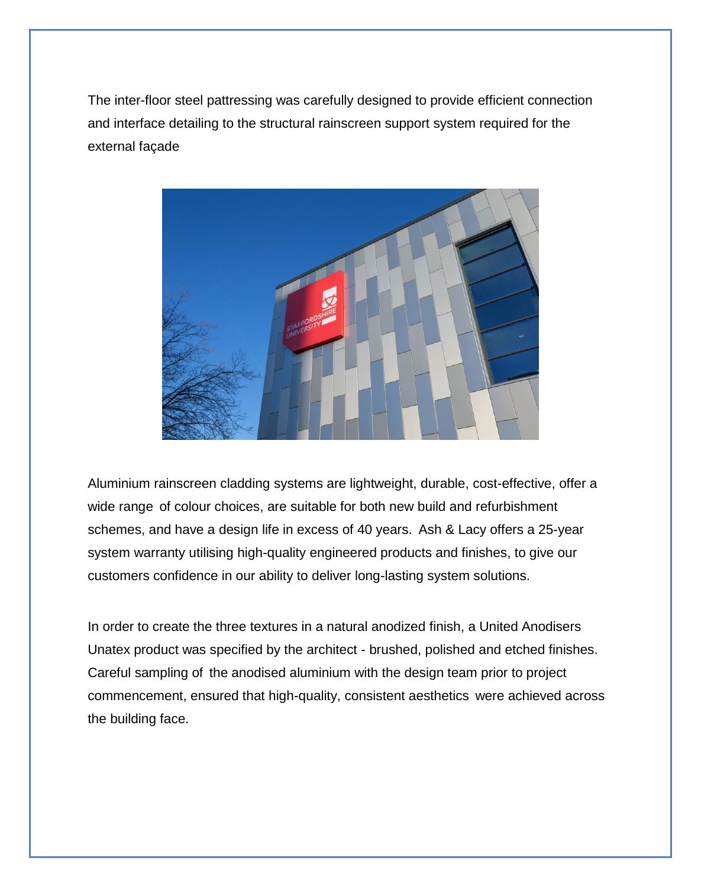The inter-floor steel pattressing was carefully designed to provide efficient connection and interface detailing to the structural rainscreen support system required for the external façade



Aluminium rainscreen cladding systems are lightweight, durable, cost-effective, offer a wide range of colour choices, are suitable for both new build and refurbishment schemes, and have a design life in excess of 40 years. Ash & Lacy offers a 25-year system warranty utilising high-quality engineered products and finishes, to give our customers confidence in our ability to deliver long-lasting system solutions.

In order to create the three textures in a natural anodized finish, a United Anodisers Unatex product was specified by the architect - brushed, polished and etched finishes. Careful sampling of the anodised aluminium with the design team prior to project commencement, ensured that high-quality, consistent aesthetics were achieved across the building face.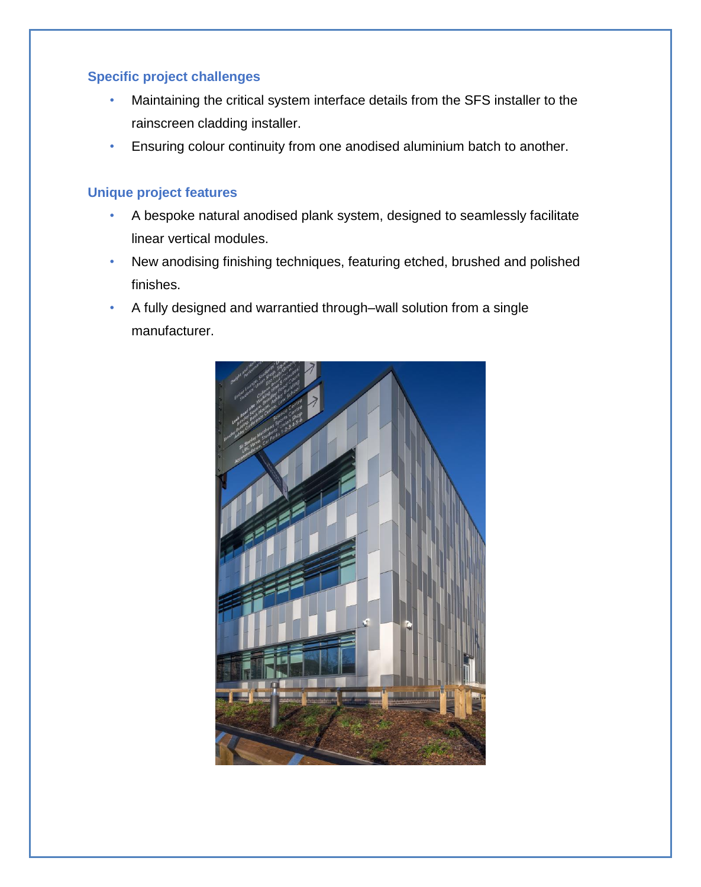## **Specific project challenges**

- Maintaining the critical system interface details from the SFS installer to the rainscreen cladding installer.
- Ensuring colour continuity from one anodised aluminium batch to another.

## **Unique project features**

- A bespoke natural anodised plank system, designed to seamlessly facilitate linear vertical modules.
- New anodising finishing techniques, featuring etched, brushed and polished finishes.
- A fully designed and warrantied through–wall solution from a single manufacturer.